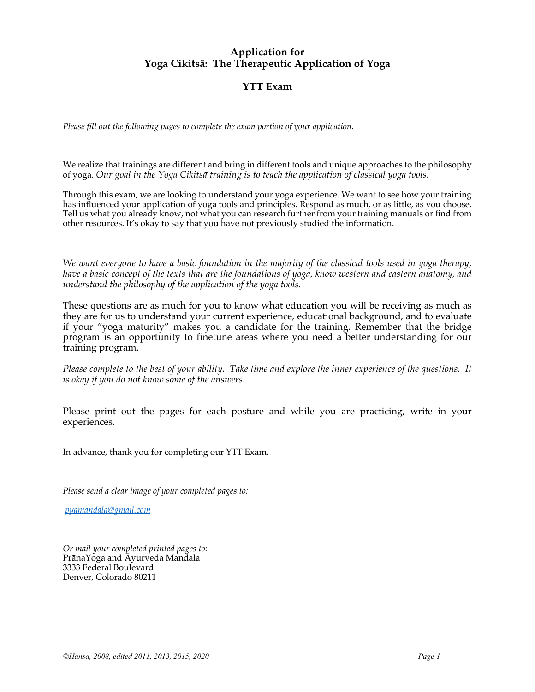## **Application for Yoga Cikitsā: The Therapeutic Application of Yoga**

## **YTT Exam**

*Please fill out the following pages to complete the exam portion of your application.* 

We realize that trainings are different and bring in different tools and unique approaches to the philosophy of yoga. *Our goal in the Yoga Cikitsā training is to teach the application of classical yoga tools.* 

Through this exam, we are looking to understand your yoga experience. We want to see how your training has influenced your application of yoga tools and principles. Respond as much, or as little, as you choose. Tell us what you already know, not what you can research further from your training manuals or find from other resources. It's okay to say that you have not previously studied the information.

*We want everyone to have a basic foundation in the majority of the classical tools used in yoga therapy, have a basic concept of the texts that are the foundations of yoga, know western and eastern anatomy, and understand the philosophy of the application of the yoga tools.*

These questions are as much for you to know what education you will be receiving as much as they are for us to understand your current experience, educational background, and to evaluate if your "yoga maturity" makes you a candidate for the training. Remember that the bridge program is an opportunity to finetune areas where you need a better understanding for our training program.

*Please complete to the best of your ability. Take time and explore the inner experience of the questions. It is okay if you do not know some of the answers.* 

Please print out the pages for each posture and while you are practicing, write in your experiences.

In advance, thank you for completing our YTT Exam.

*Please send a clear image of your completed pages to:*

*pyamandala@gmail.com*

*Or mail your completed printed pages to:*  PrānaYoga and Āyurveda Mandala 3333 Federal Boulevard Denver, Colorado 80211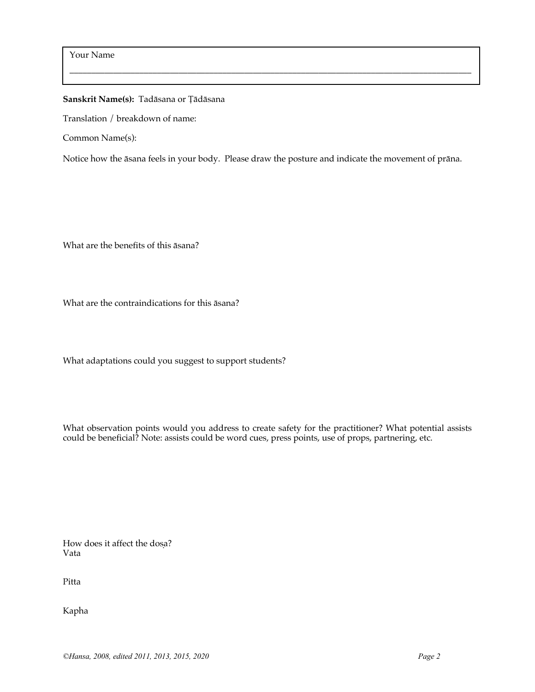## **Sanskrit Name(s):** Tadāsana or Ṭādāsana

Translation / breakdown of name:

Common Name(s):

Notice how the āsana feels in your body. Please draw the posture and indicate the movement of prāna.

 $\_$  . The contribution of the contribution of the contribution of the contribution of  $\mathcal{L}_\mathcal{A}$ 

What are the benefits of this āsana?

What are the contraindications for this āsana?

What adaptations could you suggest to support students?

What observation points would you address to create safety for the practitioner? What potential assists could be beneficial? Note: assists could be word cues, press points, use of props, partnering, etc.

How does it affect the dosa? Vata

Pitta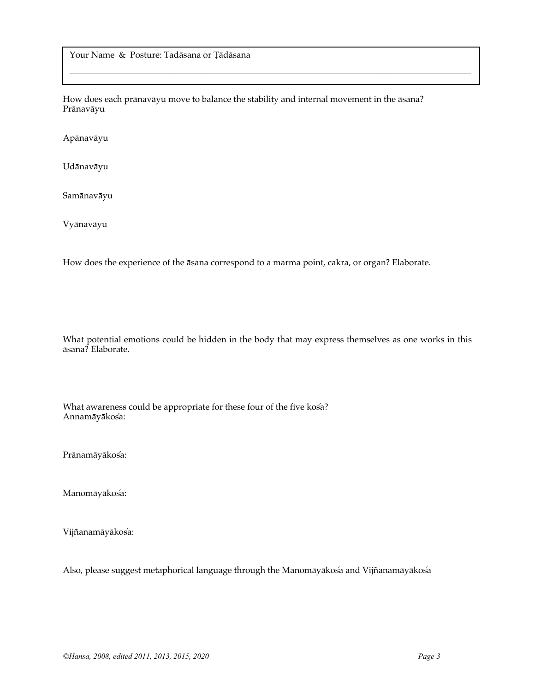Your Name & Posture: Tadāsana or Ṭādāsana

How does each prānavāyu move to balance the stability and internal movement in the āsana? Prānavāyu

 $\_$  . The contribution of the contribution of the contribution of the contribution of  $\mathcal{L}_\mathcal{A}$ 

Apānavāyu

Udānavāyu

Samānavāyu

Vyānavāyu

How does the experience of the āsana correspond to a marma point, cakra, or organ? Elaborate.

What potential emotions could be hidden in the body that may express themselves as one works in this āsana? Elaborate.

What awareness could be appropriate for these four of the five kosa? Annamāyākosa: ́

Prānamāyākosa:

Manomāyākos'a:

Vijñanamāyākosa: ́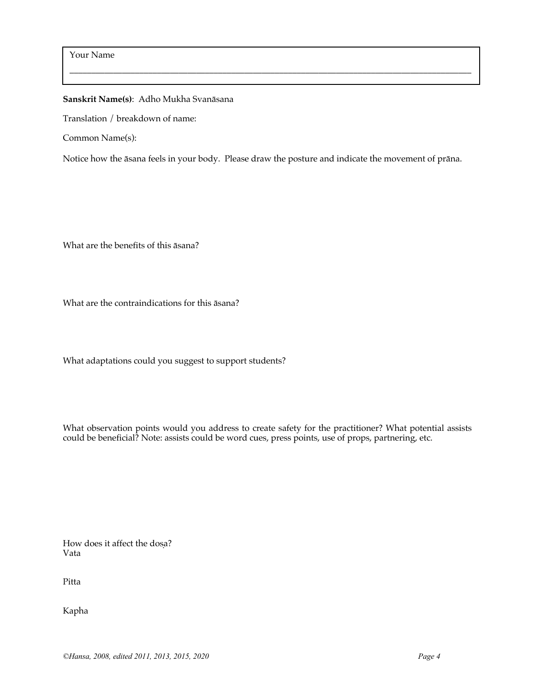**Sanskrit Name(s)**: Adho Mukha Svanāsana

Translation / breakdown of name:

Common Name(s):

Notice how the āsana feels in your body. Please draw the posture and indicate the movement of prāna.

 $\_$  . The contribution of the contribution of the contribution of the contribution of  $\mathcal{L}_\mathcal{A}$ 

What are the benefits of this āsana?

What are the contraindications for this āsana?

What adaptations could you suggest to support students?

What observation points would you address to create safety for the practitioner? What potential assists could be beneficial? Note: assists could be word cues, press points, use of props, partnering, etc.

How does it affect the dosa? Vata

Pitta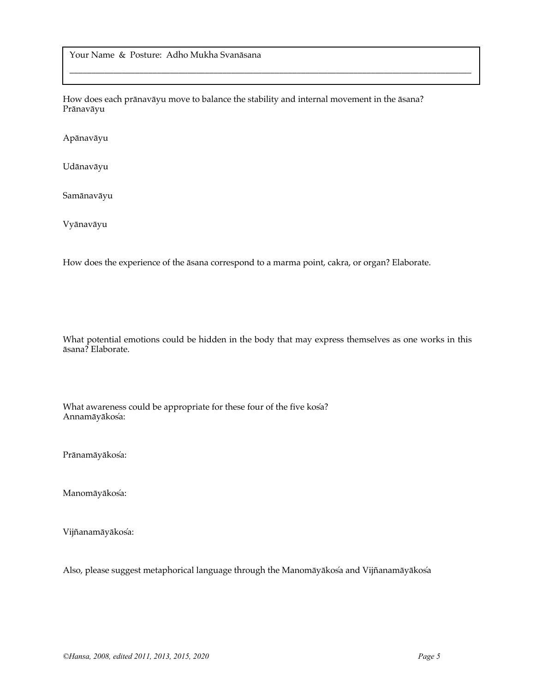Your Name & Posture: Adho Mukha Svanāsana

How does each prānavāyu move to balance the stability and internal movement in the āsana? Prānavāyu

 $\_$  . The contribution of the contribution of the contribution of the contribution of  $\mathcal{L}_\mathcal{A}$ 

Apānavāyu

Udānavāyu

Samānavāyu

Vyānavāyu

How does the experience of the āsana correspond to a marma point, cakra, or organ? Elaborate.

What potential emotions could be hidden in the body that may express themselves as one works in this āsana? Elaborate.

What awareness could be appropriate for these four of the five kosa? Annamāyākosa: ́

Prānamāyākos'a:

Manomāyākos'a:

Vijñanamāyākosa: ́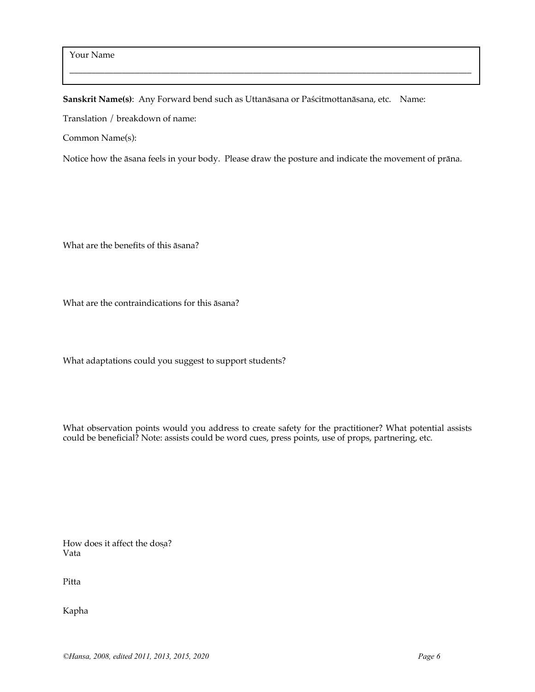**Sanskrit Name(s)**: Any Forward bend such as Uttanāsana or Paścitmottanāsana, etc. Name:

Translation / breakdown of name:

Common Name(s):

Notice how the āsana feels in your body. Please draw the posture and indicate the movement of prāna.

 $\_$  . The contribution of the contribution of the contribution of the contribution of  $\mathcal{L}_\mathcal{A}$ 

What are the benefits of this āsana?

What are the contraindications for this āsana?

What adaptations could you suggest to support students?

What observation points would you address to create safety for the practitioner? What potential assists could be beneficial? Note: assists could be word cues, press points, use of props, partnering, etc.

How does it affect the dosa? Vata

Pitta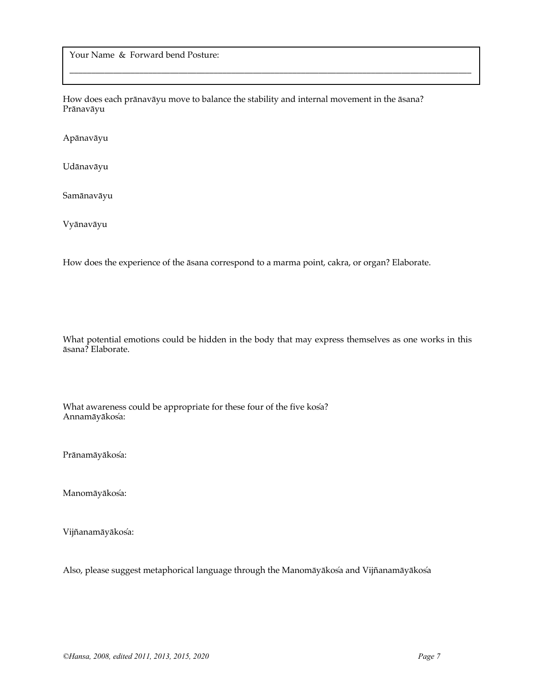Your Name & Forward bend Posture:

How does each prānavāyu move to balance the stability and internal movement in the āsana? Prānavāyu

 $\_$  . The contribution of the contribution of the contribution of the contribution of  $\mathcal{L}_\mathcal{A}$ 

Apānavāyu

Udānavāyu

Samānavāyu

Vyānavāyu

How does the experience of the āsana correspond to a marma point, cakra, or organ? Elaborate.

What potential emotions could be hidden in the body that may express themselves as one works in this āsana? Elaborate.

What awareness could be appropriate for these four of the five kosa? Annamāyākosa: ́

Prānamāyākos'a:

Manomāyākos'a:

Vijñanamāyākosa: ́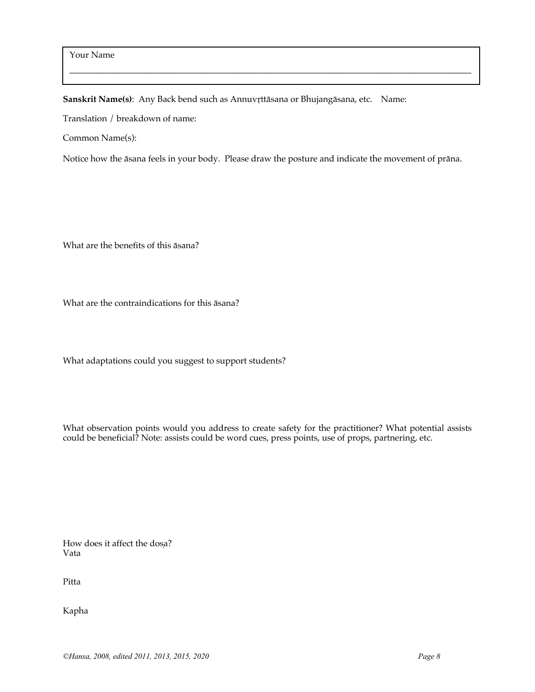**Sanskrit Name(s)**: Any Back bend such as Annuvṛttāsana or Bhujangāsana, etc. Name:

Translation / breakdown of name:

Common Name(s):

Notice how the āsana feels in your body. Please draw the posture and indicate the movement of prāna.

 $\_$  . The contribution of the contribution of the contribution of the contribution of  $\mathcal{L}_\mathcal{A}$ 

What are the benefits of this āsana?

What are the contraindications for this āsana?

What adaptations could you suggest to support students?

What observation points would you address to create safety for the practitioner? What potential assists could be beneficial? Note: assists could be word cues, press points, use of props, partnering, etc.

How does it affect the dosa? Vata

Pitta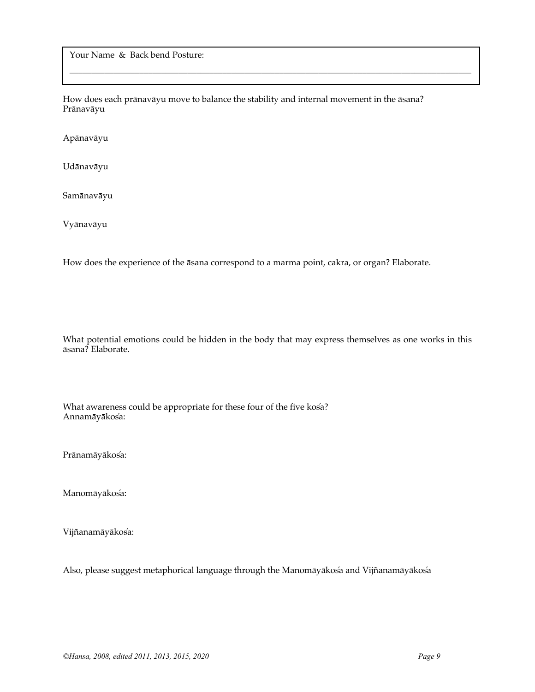Your Name & Back bend Posture:

How does each prānavāyu move to balance the stability and internal movement in the āsana? Prānavāyu

 $\_$  . The contribution of the contribution of the contribution of the contribution of  $\mathcal{L}_\mathcal{A}$ 

Apānavāyu

Udānavāyu

Samānavāyu

Vyānavāyu

How does the experience of the āsana correspond to a marma point, cakra, or organ? Elaborate.

What potential emotions could be hidden in the body that may express themselves as one works in this āsana? Elaborate.

What awareness could be appropriate for these four of the five kosa? Annamāyākosa: ́

Prānamāyākos'a:

Manomāyākos'a:

Vijñanamāyākosa: ́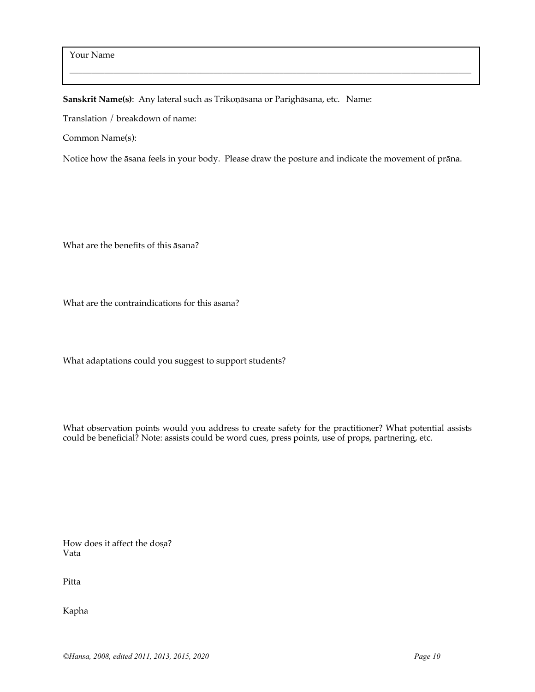**Sanskrit Name(s)**: Any lateral such as Trikoṇāsana or Parighāsana, etc. Name:

Translation / breakdown of name:

Common Name(s):

Notice how the āsana feels in your body. Please draw the posture and indicate the movement of prāna.

 $\_$  . The contribution of the contribution of the contribution of the contribution of  $\mathcal{L}_\mathcal{A}$ 

What are the benefits of this āsana?

What are the contraindications for this āsana?

What adaptations could you suggest to support students?

What observation points would you address to create safety for the practitioner? What potential assists could be beneficial? Note: assists could be word cues, press points, use of props, partnering, etc.

How does it affect the dosa? Vata

Pitta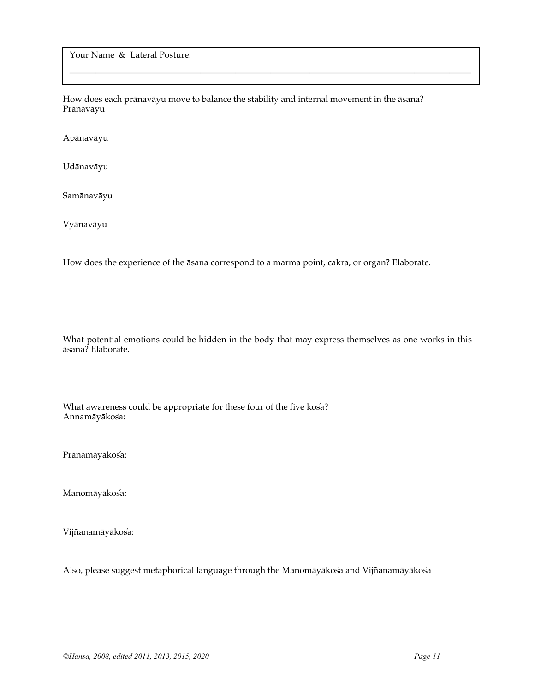Your Name & Lateral Posture:

How does each prānavāyu move to balance the stability and internal movement in the āsana? Prānavāyu

 $\_$  . The contribution of the contribution of the contribution of the contribution of  $\mathcal{L}_\mathcal{A}$ 

Apānavāyu

Udānavāyu

Samānavāyu

Vyānavāyu

How does the experience of the āsana correspond to a marma point, cakra, or organ? Elaborate.

What potential emotions could be hidden in the body that may express themselves as one works in this āsana? Elaborate.

What awareness could be appropriate for these four of the five kosa? Annamāyākosa: ́

Prānamāyākos'a:

Manomāyākos'a:

Vijñanamāyākosa: ́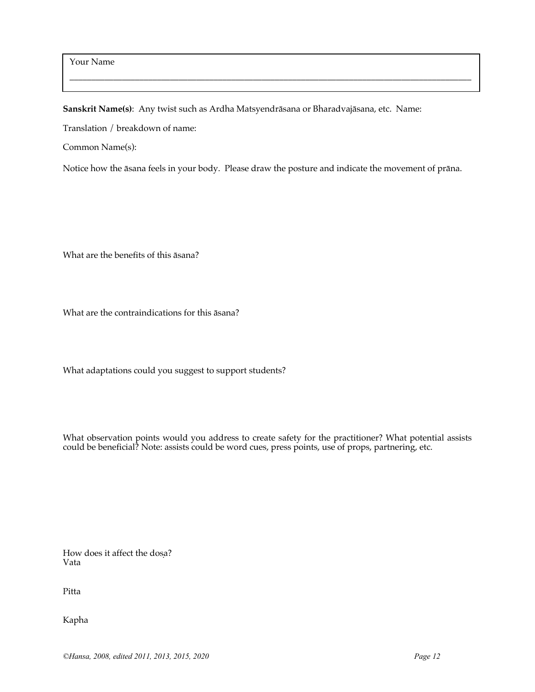Your Name

**Sanskrit Name(s)**: Any twist such as Ardha Matsyendrāsana or Bharadvajāsana, etc. Name:

Translation / breakdown of name:

Common Name(s):

Notice how the āsana feels in your body. Please draw the posture and indicate the movement of prāna.

 $\_$  . The contribution of the contribution of the contribution of the contribution of  $\mathcal{L}_\mathcal{A}$ 

What are the benefits of this āsana?

What are the contraindications for this āsana?

What adaptations could you suggest to support students?

What observation points would you address to create safety for the practitioner? What potential assists could be beneficial? Note: assists could be word cues, press points, use of props, partnering, etc.

How does it affect the dosa? Vata

Pitta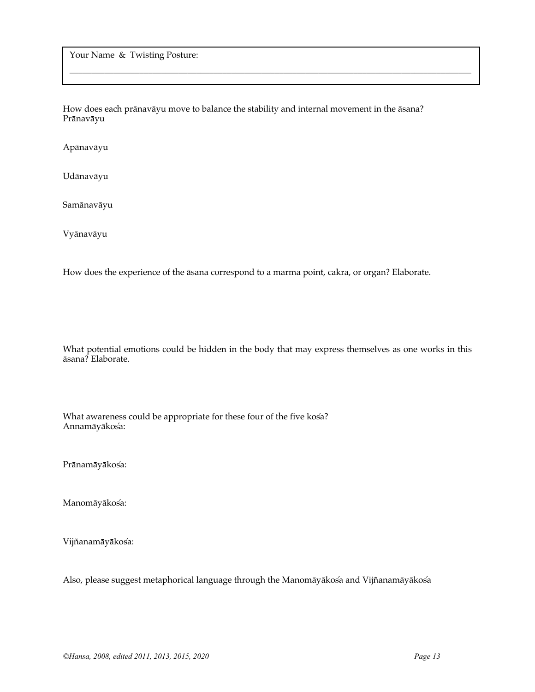Your Name & Twisting Posture:

How does each prānavāyu move to balance the stability and internal movement in the āsana? Prānavāyu

 $\_$  . The contribution of the contribution of the contribution of the contribution of  $\mathcal{L}_\mathcal{A}$ 

Apānavāyu

Udānavāyu

Samānavāyu

Vyānavāyu

How does the experience of the āsana correspond to a marma point, cakra, or organ? Elaborate.

What potential emotions could be hidden in the body that may express themselves as one works in this āsana? Elaborate.

What awareness could be appropriate for these four of the five kosa? Annamāyākosa: ́

Prānamāyākos'a:

Manomāyākos<sup>'</sup>a:

Vijñanamāyākosa: ́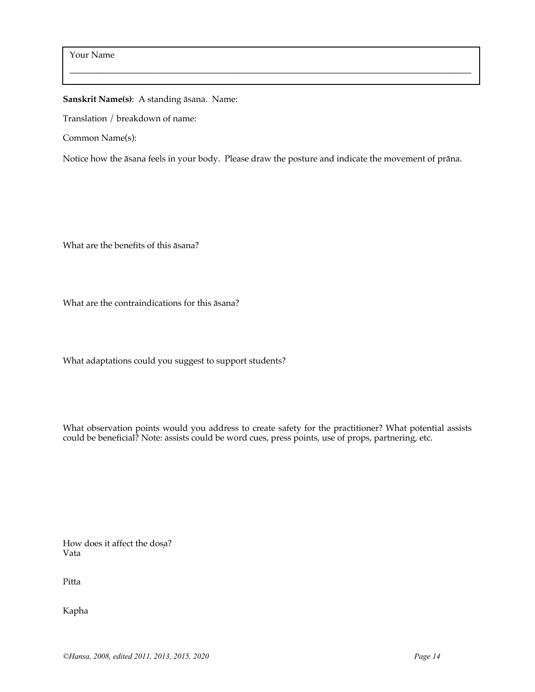**Sanskrit Name(s)**: A standing āsana. Name:

Translation / breakdown of name:

Common Name(s):

Notice how the āsana feels in your body. Please draw the posture and indicate the movement of prāna.

 $\_$  . The contribution of the contribution of the contribution of the contribution of  $\mathcal{L}_\mathcal{A}$ 

What are the benefits of this āsana?

What are the contraindications for this āsana?

What adaptations could you suggest to support students?

What observation points would you address to create safety for the practitioner? What potential assists could be beneficial? Note: assists could be word cues, press points, use of props, partnering, etc.

How does it affect the dosa? Vata

Pitta